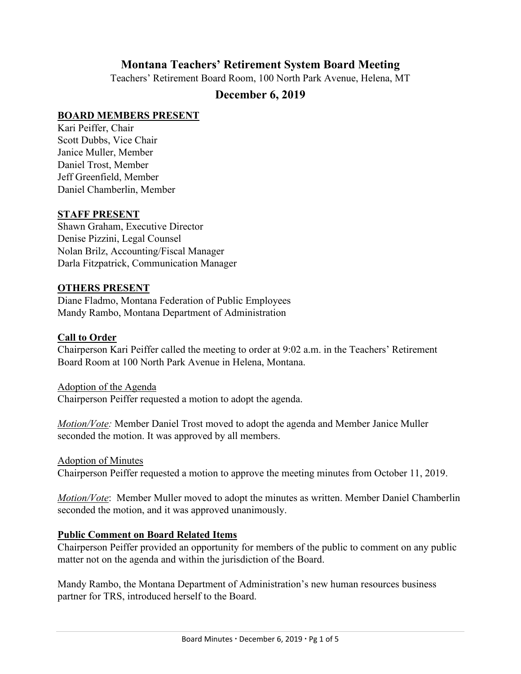# **Montana Teachers' Retirement System Board Meeting**

Teachers' Retirement Board Room, 100 North Park Avenue, Helena, MT

# **December 6, 2019**

# **BOARD MEMBERS PRESENT**

Kari Peiffer, Chair Scott Dubbs, Vice Chair Janice Muller, Member Daniel Trost, Member Jeff Greenfield, Member Daniel Chamberlin, Member

### **STAFF PRESENT**

Shawn Graham, Executive Director Denise Pizzini, Legal Counsel Nolan Brilz, Accounting/Fiscal Manager Darla Fitzpatrick, Communication Manager

### **OTHERS PRESENT**

Diane Fladmo, Montana Federation of Public Employees Mandy Rambo, Montana Department of Administration

#### **Call to Order**

Chairperson Kari Peiffer called the meeting to order at 9:02 a.m. in the Teachers' Retirement Board Room at 100 North Park Avenue in Helena, Montana.

Adoption of the Agenda Chairperson Peiffer requested a motion to adopt the agenda.

*Motion/Vote:* Member Daniel Trost moved to adopt the agenda and Member Janice Muller seconded the motion. It was approved by all members.

Adoption of Minutes

Chairperson Peiffer requested a motion to approve the meeting minutes from October 11, 2019.

*Motion/Vote*: Member Muller moved to adopt the minutes as written. Member Daniel Chamberlin seconded the motion, and it was approved unanimously.

# **Public Comment on Board Related Items**

Chairperson Peiffer provided an opportunity for members of the public to comment on any public matter not on the agenda and within the jurisdiction of the Board.

Mandy Rambo, the Montana Department of Administration's new human resources business partner for TRS, introduced herself to the Board.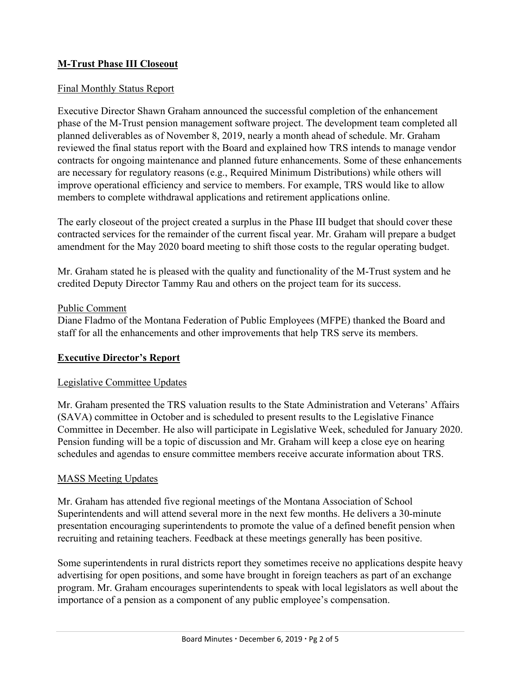# **M-Trust Phase III Closeout**

### Final Monthly Status Report

Executive Director Shawn Graham announced the successful completion of the enhancement phase of the M-Trust pension management software project. The development team completed all planned deliverables as of November 8, 2019, nearly a month ahead of schedule. Mr. Graham reviewed the final status report with the Board and explained how TRS intends to manage vendor contracts for ongoing maintenance and planned future enhancements. Some of these enhancements are necessary for regulatory reasons (e.g., Required Minimum Distributions) while others will improve operational efficiency and service to members. For example, TRS would like to allow members to complete withdrawal applications and retirement applications online.

The early closeout of the project created a surplus in the Phase III budget that should cover these contracted services for the remainder of the current fiscal year. Mr. Graham will prepare a budget amendment for the May 2020 board meeting to shift those costs to the regular operating budget.

Mr. Graham stated he is pleased with the quality and functionality of the M-Trust system and he credited Deputy Director Tammy Rau and others on the project team for its success.

#### Public Comment

Diane Fladmo of the Montana Federation of Public Employees (MFPE) thanked the Board and staff for all the enhancements and other improvements that help TRS serve its members.

# **Executive Director's Report**

#### Legislative Committee Updates

Mr. Graham presented the TRS valuation results to the State Administration and Veterans' Affairs (SAVA) committee in October and is scheduled to present results to the Legislative Finance Committee in December. He also will participate in Legislative Week, scheduled for January 2020. Pension funding will be a topic of discussion and Mr. Graham will keep a close eye on hearing schedules and agendas to ensure committee members receive accurate information about TRS.

#### MASS Meeting Updates

Mr. Graham has attended five regional meetings of the Montana Association of School Superintendents and will attend several more in the next few months. He delivers a 30-minute presentation encouraging superintendents to promote the value of a defined benefit pension when recruiting and retaining teachers. Feedback at these meetings generally has been positive.

Some superintendents in rural districts report they sometimes receive no applications despite heavy advertising for open positions, and some have brought in foreign teachers as part of an exchange program. Mr. Graham encourages superintendents to speak with local legislators as well about the importance of a pension as a component of any public employee's compensation.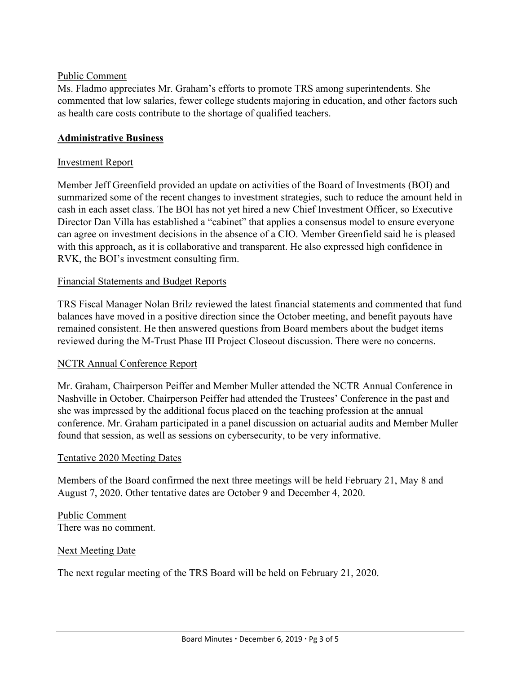### Public Comment

Ms. Fladmo appreciates Mr. Graham's efforts to promote TRS among superintendents. She commented that low salaries, fewer college students majoring in education, and other factors such as health care costs contribute to the shortage of qualified teachers.

# **Administrative Business**

### Investment Report

Member Jeff Greenfield provided an update on activities of the Board of Investments (BOI) and summarized some of the recent changes to investment strategies, such to reduce the amount held in cash in each asset class. The BOI has not yet hired a new Chief Investment Officer, so Executive Director Dan Villa has established a "cabinet" that applies a consensus model to ensure everyone can agree on investment decisions in the absence of a CIO. Member Greenfield said he is pleased with this approach, as it is collaborative and transparent. He also expressed high confidence in RVK, the BOI's investment consulting firm.

#### Financial Statements and Budget Reports

TRS Fiscal Manager Nolan Brilz reviewed the latest financial statements and commented that fund balances have moved in a positive direction since the October meeting, and benefit payouts have remained consistent. He then answered questions from Board members about the budget items reviewed during the M-Trust Phase III Project Closeout discussion. There were no concerns.

#### NCTR Annual Conference Report

Mr. Graham, Chairperson Peiffer and Member Muller attended the NCTR Annual Conference in Nashville in October. Chairperson Peiffer had attended the Trustees' Conference in the past and she was impressed by the additional focus placed on the teaching profession at the annual conference. Mr. Graham participated in a panel discussion on actuarial audits and Member Muller found that session, as well as sessions on cybersecurity, to be very informative.

#### Tentative 2020 Meeting Dates

Members of the Board confirmed the next three meetings will be held February 21, May 8 and August 7, 2020. Other tentative dates are October 9 and December 4, 2020.

Public Comment There was no comment.

# Next Meeting Date

The next regular meeting of the TRS Board will be held on February 21, 2020.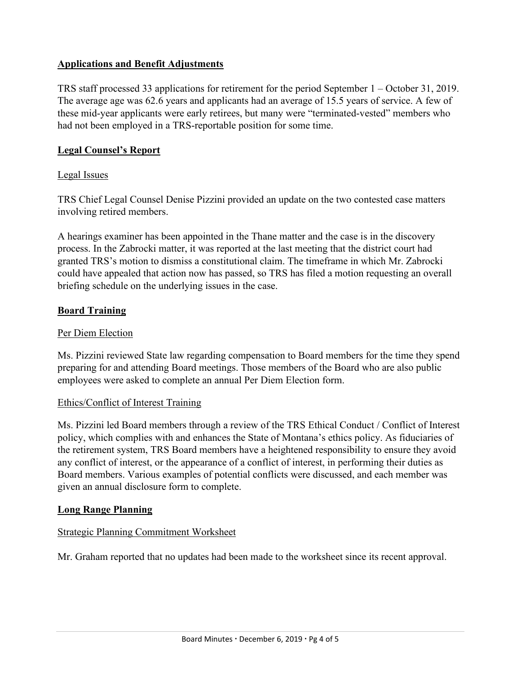# **Applications and Benefit Adjustments**

TRS staff processed 33 applications for retirement for the period September 1 – October 31, 2019. The average age was 62.6 years and applicants had an average of 15.5 years of service. A few of these mid-year applicants were early retirees, but many were "terminated-vested" members who had not been employed in a TRS-reportable position for some time.

# **Legal Counsel's Report**

## Legal Issues

TRS Chief Legal Counsel Denise Pizzini provided an update on the two contested case matters involving retired members.

A hearings examiner has been appointed in the Thane matter and the case is in the discovery process. In the Zabrocki matter, it was reported at the last meeting that the district court had granted TRS's motion to dismiss a constitutional claim. The timeframe in which Mr. Zabrocki could have appealed that action now has passed, so TRS has filed a motion requesting an overall briefing schedule on the underlying issues in the case.

# **Board Training**

# Per Diem Election

Ms. Pizzini reviewed State law regarding compensation to Board members for the time they spend preparing for and attending Board meetings. Those members of the Board who are also public employees were asked to complete an annual Per Diem Election form.

# Ethics/Conflict of Interest Training

Ms. Pizzini led Board members through a review of the TRS Ethical Conduct / Conflict of Interest policy, which complies with and enhances the State of Montana's ethics policy. As fiduciaries of the retirement system, TRS Board members have a heightened responsibility to ensure they avoid any conflict of interest, or the appearance of a conflict of interest, in performing their duties as Board members. Various examples of potential conflicts were discussed, and each member was given an annual disclosure form to complete.

# **Long Range Planning**

# Strategic Planning Commitment Worksheet

Mr. Graham reported that no updates had been made to the worksheet since its recent approval.